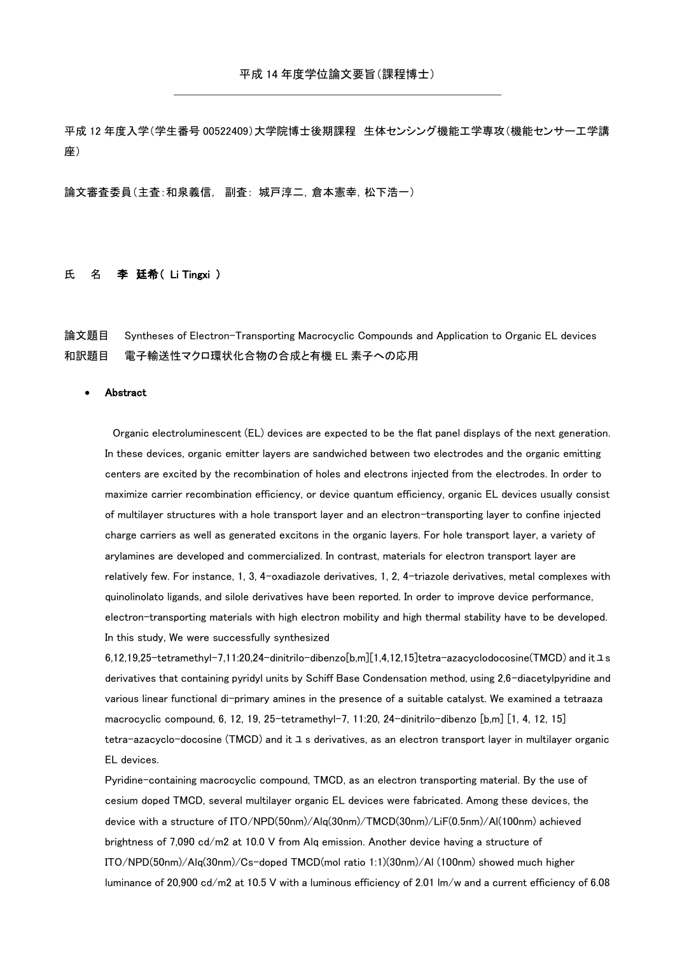平成 12 年度入学(学生番号 00522409)大学院博士後期課程 生体センシング機能工学専攻(機能センサー工学講 座)

論文審査委員(主査:和泉義信, 副査: 城戸淳二,倉本憲幸,松下浩一)

## 氏 名 李 廷希(Li Tingxi)

論文題目 Syntheses of Electron-Transporting Macrocyclic Compounds and Application to Organic EL devices 和訳題目 電子輸送性マクロ環状化合物の合成と有機 EL 素子への応用

## Abstract

 Organic electroluminescent (EL) devices are expected to be the flat panel displays of the next generation. In these devices, organic emitter layers are sandwiched between two electrodes and the organic emitting centers are excited by the recombination of holes and electrons injected from the electrodes. In order to maximize carrier recombination efficiency, or device quantum efficiency, organic EL devices usually consist of multilayer structures with a hole transport layer and an electron-transporting layer to confine injected charge carriers as well as generated excitons in the organic layers. For hole transport layer, a variety of arylamines are developed and commercialized. In contrast, materials for electron transport layer are relatively few. For instance, 1, 3, 4-oxadiazole derivatives, 1, 2, 4-triazole derivatives, metal complexes with quinolinolato ligands, and silole derivatives have been reported. In order to improve device performance, electron-transporting materials with high electron mobility and high thermal stability have to be developed. In this study, We were successfully synthesized

6,12,19,25-tetramethyl-7,11:20,24-dinitrilo-dibenzo[b,m][1,4,12,15]tetra-azacyclodocosine(TMCD) and itユs derivatives that containing pyridyl units by Schiff Base Condensation method, using 2,6-diacetylpyridine and various linear functional di-primary amines in the presence of a suitable catalyst. We examined a tetraaza macrocyclic compound, 6, 12, 19, 25-tetramethyl-7, 11:20, 24-dinitrilo-dibenzo [b,m] [1, 4, 12, 15] tetra-azacyclo-docosine (TMCD) and it ユ s derivatives, as an electron transport layer in multilayer organic EL devices.

Pyridine-containing macrocyclic compound, TMCD, as an electron transporting material. By the use of cesium doped TMCD, several multilayer organic EL devices were fabricated. Among these devices, the device with a structure of ITO/NPD(50nm)/Alq(30nm)/TMCD(30nm)/LiF(0.5nm)/Al(100nm) achieved brightness of 7,090 cd/m2 at 10.0 V from Alq emission. Another device having a structure of ITO/NPD(50nm)/Alq(30nm)/Cs-doped TMCD(mol ratio 1:1)(30nm)/Al (100nm) showed much higher luminance of 20,900 cd/m2 at 10.5 V with a luminous efficiency of 2.01 lm/w and a current efficiency of 6.08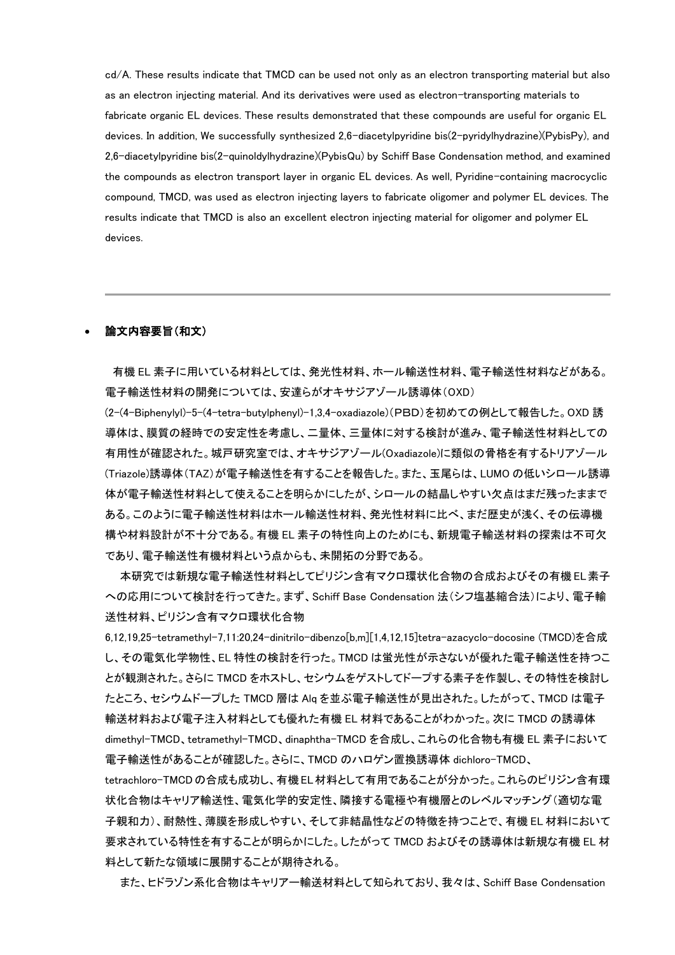cd/A. These results indicate that TMCD can be used not only as an electron transporting material but also as an electron injecting material. And its derivatives were used as electron-transporting materials to fabricate organic EL devices. These results demonstrated that these compounds are useful for organic EL devices. In addition, We successfully synthesized 2,6-diacetylpyridine bis(2-pyridylhydrazine)(PybisPy), and 2,6-diacetylpyridine bis(2-quinoldylhydrazine)(PybisQu) by Schiff Base Condensation method, and examined the compounds as electron transport layer in organic EL devices. As well, Pyridine-containing macrocyclic compound, TMCD, was used as electron injecting layers to fabricate oligomer and polymer EL devices. The results indicate that TMCD is also an excellent electron injecting material for oligomer and polymer EL devices.

## 論文内容要旨(和文)

 有機 EL 素子に用いている材料としては、発光性材料、ホール輸送性材料、電子輸送性材料などがある。 電子輸送性材料の開発については、安達らがオキサジアゾール誘導体(OXD)

(2-(4-Biphenylyl)-5-(4-tetra-butylphenyl)-1,3,4-oxadiazole)(PBD)を初めての例として報告した。OXD 誘 導体は、膜質の経時での安定性を考慮し、二量体、三量体に対する検討が進み、電子輸送性材料としての 有用性が確認された。城戸研究室では、オキサジアゾール(Oxadiazole)に類似の骨格を有するトリアゾール (Triazole)誘導体(TAZ)が電子輸送性を有することを報告した。また、玉尾らは、LUMO の低いシロール誘導 体が電子輸送性材料として使えることを明らかにしたが、シロールの結晶しやすい欠点はまだ残ったままで ある。このように電子輸送性材料はホール輸送性材料、発光性材料に比べ、まだ歴史が浅く、その伝導機 構や材料設計が不十分である。有機 EL 素子の特性向上のためにも、新規電子輸送材料の探索は不可欠 であり、電子輸送性有機材料という点からも、未開拓の分野である。

 本研究では新規な電子輸送性材料としてピリジン含有マクロ環状化合物の合成およびその有機 EL素子 への応用について検討を行ってきた。まず、Schiff Base Condensation 法(シフ塩基縮合法)により、電子輸 送性材料、ピリジン含有マクロ環状化合物

6,12,19,25-tetramethyl-7,11:20,24-dinitrilo-dibenzo[b,m][1,4,12,15]tetra-azacyclo-docosine (TMCD)を合成 し、その電気化学物性、EL 特性の検討を行った。TMCD は蛍光性が示さないが優れた電子輸送性を持つこ とが観測された。さらに TMCD をホストし、セシウムをゲストしてドープする素子を作製し、その特性を検討し たところ、セシウムドープした TMCD 層は Alq を並ぶ電子輸送性が見出された。したがって、TMCD は電子 輸送材料および電子注入材料としても優れた有機 EL 材料であることがわかった。次に TMCD の誘導体 dimethyl-TMCD、tetramethyl-TMCD、dinaphtha-TMCD を合成し、これらの化合物も有機 EL 素子において 電子輸送性があることが確認した。さらに、TMCD のハロゲン置換誘導体 dichloro-TMCD、

tetrachloro-TMCDの合成も成功し、有機EL材料として有用であることが分かった。これらのピリジン含有環 状化合物はキャリア輸送性、電気化学的安定性、隣接する電極や有機層とのレベルマッチング(適切な電 子親和力)、耐熱性、薄膜を形成しやすい、そして非結晶性などの特徴を持つことで、有機 EL 材料において 要求されている特性を有することが明らかにした。したがって TMCD およびその誘導体は新規な有機 EL 材 料として新たな領域に展開することが期待される。

また、ヒドラゾン系化合物はキャリアー輸送材料として知られており、我々は、Schiff Base Condensation